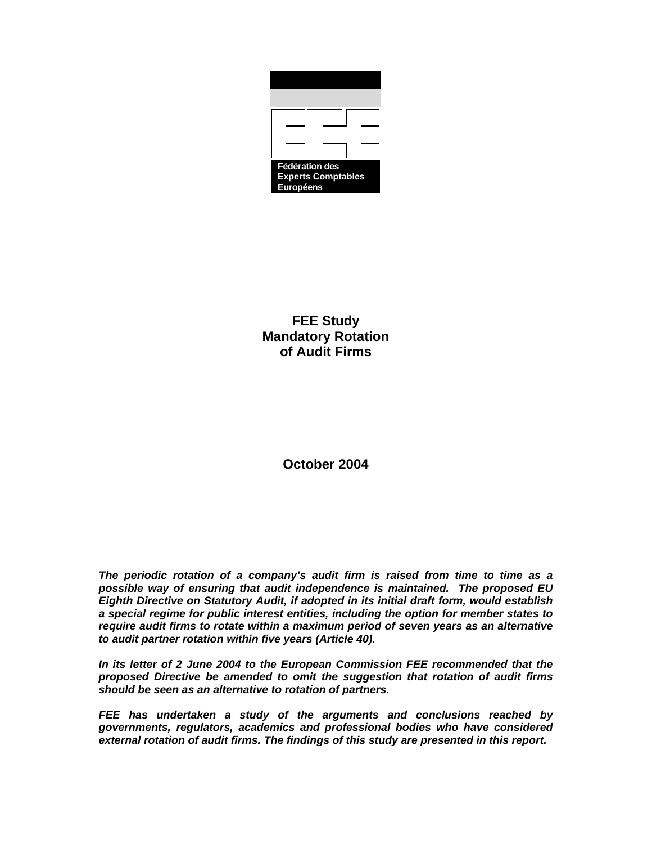

**FEE Study Mandatory Rotation of Audit Firms** 

**October 2004** 

*The periodic rotation of a company's audit firm is raised from time to time as a possible way of ensuring that audit independence is maintained. The proposed EU Eighth Directive on Statutory Audit, if adopted in its initial draft form, would establish a special regime for public interest entities, including the option for member states to require audit firms to rotate within a maximum period of seven years as an alternative to audit partner rotation within five years (Article 40).* 

*In its letter of 2 June 2004 to the European Commission FEE recommended that the proposed Directive be amended to omit the suggestion that rotation of audit firms should be seen as an alternative to rotation of partners.* 

*FEE has undertaken a study of the arguments and conclusions reached by governments, regulators, academics and professional bodies who have considered external rotation of audit firms. The findings of this study are presented in this report.*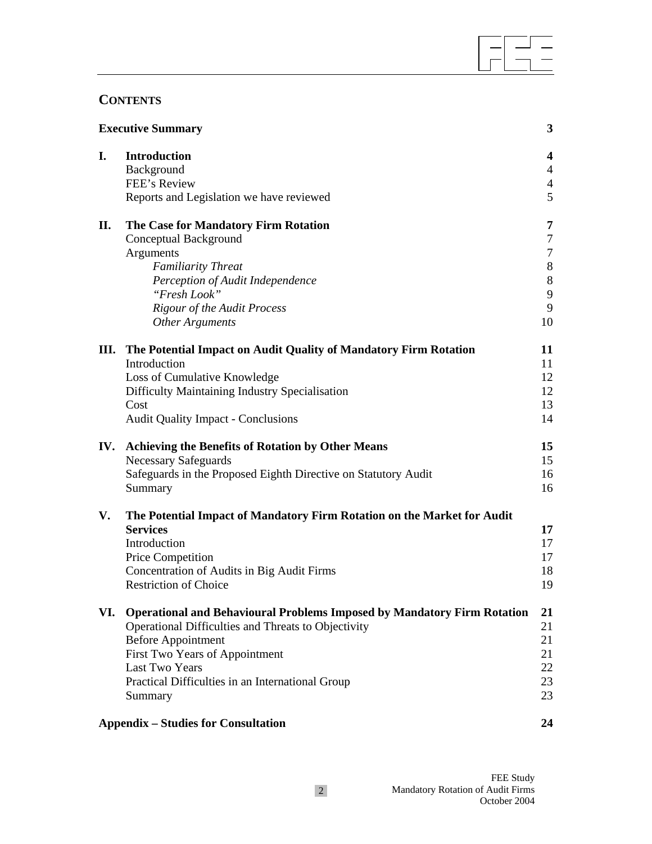# **CONTENTS**

| <b>Executive Summary</b> |                                                                                | 3              |
|--------------------------|--------------------------------------------------------------------------------|----------------|
| I.                       | <b>Introduction</b>                                                            | 4              |
|                          | Background                                                                     | $\overline{4}$ |
|                          | FEE's Review                                                                   | $\overline{4}$ |
|                          | Reports and Legislation we have reviewed                                       | 5              |
| П.                       | The Case for Mandatory Firm Rotation                                           | 7              |
|                          | Conceptual Background                                                          | 7              |
|                          | Arguments                                                                      | 7              |
|                          | <b>Familiarity Threat</b>                                                      | $8\,$          |
|                          | Perception of Audit Independence                                               | $8\,$          |
|                          | "Fresh Look"                                                                   | 9              |
|                          | <b>Rigour of the Audit Process</b>                                             | 9              |
|                          | <b>Other Arguments</b>                                                         | 10             |
|                          | III. The Potential Impact on Audit Quality of Mandatory Firm Rotation          | 11             |
|                          | Introduction                                                                   | 11             |
|                          | Loss of Cumulative Knowledge                                                   | 12             |
|                          | Difficulty Maintaining Industry Specialisation                                 | 12             |
|                          | Cost                                                                           | 13             |
|                          | <b>Audit Quality Impact - Conclusions</b>                                      | 14             |
| IV.                      | <b>Achieving the Benefits of Rotation by Other Means</b>                       | 15             |
|                          | <b>Necessary Safeguards</b>                                                    | 15             |
|                          | Safeguards in the Proposed Eighth Directive on Statutory Audit                 | 16             |
|                          | Summary                                                                        | 16             |
| V.                       | The Potential Impact of Mandatory Firm Rotation on the Market for Audit        |                |
|                          | <b>Services</b>                                                                | 17             |
|                          | Introduction                                                                   | 17             |
|                          | Price Competition                                                              | 17             |
|                          | Concentration of Audits in Big Audit Firms                                     | 18             |
|                          | <b>Restriction of Choice</b>                                                   | 19             |
| VI.                      | <b>Operational and Behavioural Problems Imposed by Mandatory Firm Rotation</b> | 21             |
|                          | Operational Difficulties and Threats to Objectivity                            | 21             |
|                          | <b>Before Appointment</b>                                                      | 21             |
|                          | First Two Years of Appointment                                                 | 21             |
|                          | Last Two Years                                                                 | 22             |
|                          | Practical Difficulties in an International Group                               | 23             |
|                          | Summary                                                                        | 23             |
|                          | <b>Appendix – Studies for Consultation</b><br>24                               |                |

 $\overline{a}$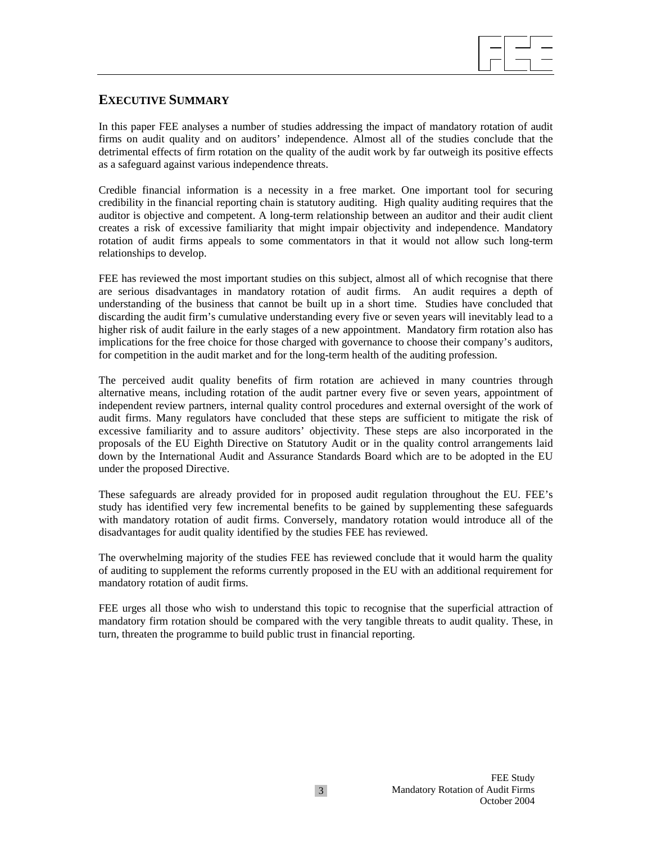

### **EXECUTIVE SUMMARY**

In this paper FEE analyses a number of studies addressing the impact of mandatory rotation of audit firms on audit quality and on auditors' independence. Almost all of the studies conclude that the detrimental effects of firm rotation on the quality of the audit work by far outweigh its positive effects as a safeguard against various independence threats.

Credible financial information is a necessity in a free market. One important tool for securing credibility in the financial reporting chain is statutory auditing. High quality auditing requires that the auditor is objective and competent. A long-term relationship between an auditor and their audit client creates a risk of excessive familiarity that might impair objectivity and independence. Mandatory rotation of audit firms appeals to some commentators in that it would not allow such long-term relationships to develop.

FEE has reviewed the most important studies on this subject, almost all of which recognise that there are serious disadvantages in mandatory rotation of audit firms. An audit requires a depth of understanding of the business that cannot be built up in a short time. Studies have concluded that discarding the audit firm's cumulative understanding every five or seven years will inevitably lead to a higher risk of audit failure in the early stages of a new appointment. Mandatory firm rotation also has implications for the free choice for those charged with governance to choose their company's auditors, for competition in the audit market and for the long-term health of the auditing profession.

The perceived audit quality benefits of firm rotation are achieved in many countries through alternative means, including rotation of the audit partner every five or seven years, appointment of independent review partners, internal quality control procedures and external oversight of the work of audit firms. Many regulators have concluded that these steps are sufficient to mitigate the risk of excessive familiarity and to assure auditors' objectivity. These steps are also incorporated in the proposals of the EU Eighth Directive on Statutory Audit or in the quality control arrangements laid down by the International Audit and Assurance Standards Board which are to be adopted in the EU under the proposed Directive.

These safeguards are already provided for in proposed audit regulation throughout the EU. FEE's study has identified very few incremental benefits to be gained by supplementing these safeguards with mandatory rotation of audit firms. Conversely, mandatory rotation would introduce all of the disadvantages for audit quality identified by the studies FEE has reviewed.

The overwhelming majority of the studies FEE has reviewed conclude that it would harm the quality of auditing to supplement the reforms currently proposed in the EU with an additional requirement for mandatory rotation of audit firms.

FEE urges all those who wish to understand this topic to recognise that the superficial attraction of mandatory firm rotation should be compared with the very tangible threats to audit quality. These, in turn, threaten the programme to build public trust in financial reporting.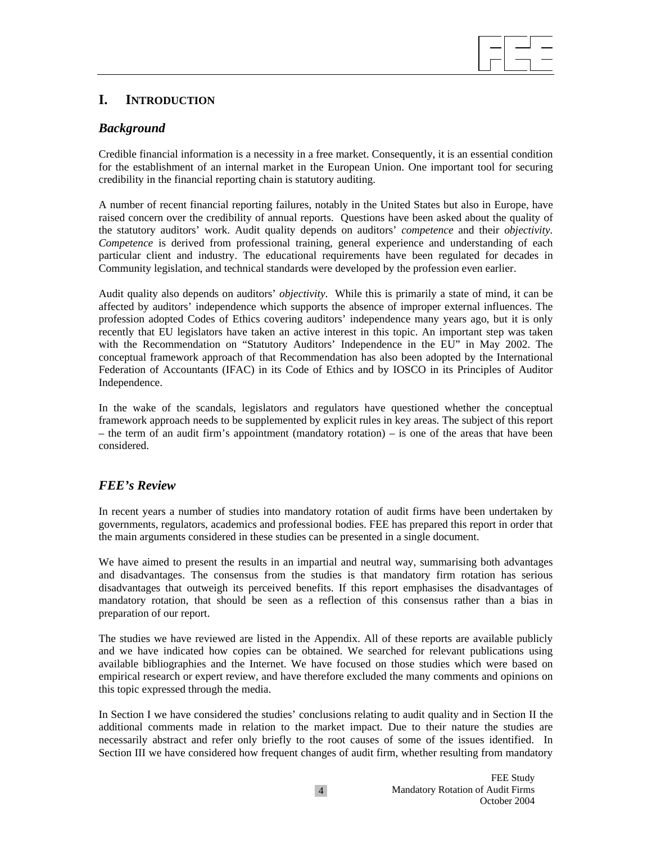## **I. INTRODUCTION**

### *Background*

Credible financial information is a necessity in a free market. Consequently, it is an essential condition for the establishment of an internal market in the European Union. One important tool for securing credibility in the financial reporting chain is statutory auditing.

A number of recent financial reporting failures, notably in the United States but also in Europe, have raised concern over the credibility of annual reports. Questions have been asked about the quality of the statutory auditors' work. Audit quality depends on auditors' *competence* and their *objectivity. Competence* is derived from professional training, general experience and understanding of each particular client and industry. The educational requirements have been regulated for decades in Community legislation, and technical standards were developed by the profession even earlier.

Audit quality also depends on auditors' *objectivity*. While this is primarily a state of mind, it can be affected by auditors' independence which supports the absence of improper external influences. The profession adopted Codes of Ethics covering auditors' independence many years ago, but it is only recently that EU legislators have taken an active interest in this topic. An important step was taken with the Recommendation on "Statutory Auditors' Independence in the EU" in May 2002. The conceptual framework approach of that Recommendation has also been adopted by the International Federation of Accountants (IFAC) in its Code of Ethics and by IOSCO in its Principles of Auditor Independence.

In the wake of the scandals, legislators and regulators have questioned whether the conceptual framework approach needs to be supplemented by explicit rules in key areas. The subject of this report – the term of an audit firm's appointment (mandatory rotation) – is one of the areas that have been considered.

### *FEE's Review*

In recent years a number of studies into mandatory rotation of audit firms have been undertaken by governments, regulators, academics and professional bodies. FEE has prepared this report in order that the main arguments considered in these studies can be presented in a single document.

We have aimed to present the results in an impartial and neutral way, summarising both advantages and disadvantages. The consensus from the studies is that mandatory firm rotation has serious disadvantages that outweigh its perceived benefits. If this report emphasises the disadvantages of mandatory rotation, that should be seen as a reflection of this consensus rather than a bias in preparation of our report.

The studies we have reviewed are listed in the Appendix. All of these reports are available publicly and we have indicated how copies can be obtained. We searched for relevant publications using available bibliographies and the Internet. We have focused on those studies which were based on empirical research or expert review, and have therefore excluded the many comments and opinions on this topic expressed through the media.

In Section I we have considered the studies' conclusions relating to audit quality and in Section II the additional comments made in relation to the market impact. Due to their nature the studies are necessarily abstract and refer only briefly to the root causes of some of the issues identified. In Section III we have considered how frequent changes of audit firm, whether resulting from mandatory

 $\overline{a}$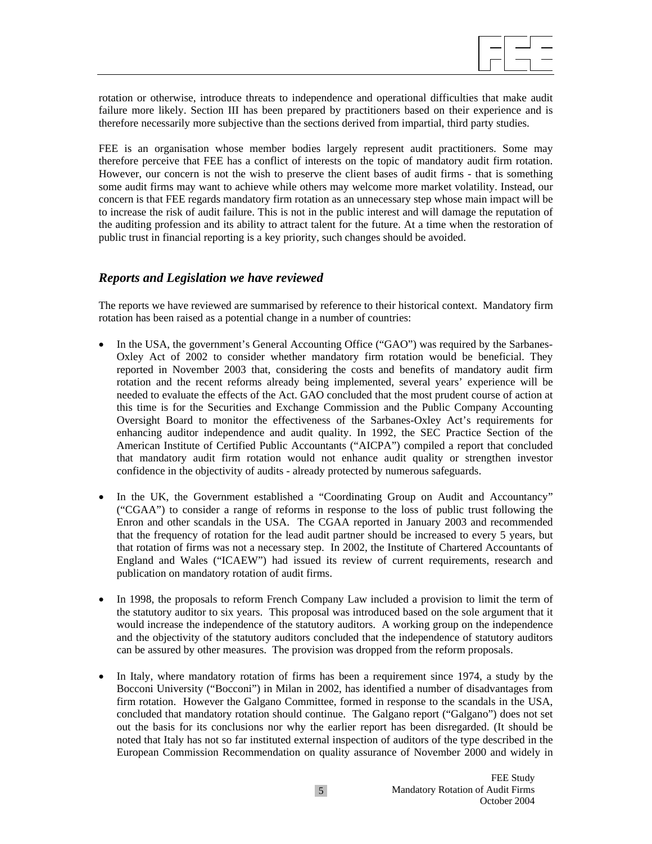$\overline{a}$ 

rotation or otherwise, introduce threats to independence and operational difficulties that make audit failure more likely. Section III has been prepared by practitioners based on their experience and is therefore necessarily more subjective than the sections derived from impartial, third party studies.

FEE is an organisation whose member bodies largely represent audit practitioners. Some may therefore perceive that FEE has a conflict of interests on the topic of mandatory audit firm rotation. However, our concern is not the wish to preserve the client bases of audit firms - that is something some audit firms may want to achieve while others may welcome more market volatility. Instead, our concern is that FEE regards mandatory firm rotation as an unnecessary step whose main impact will be to increase the risk of audit failure. This is not in the public interest and will damage the reputation of the auditing profession and its ability to attract talent for the future. At a time when the restoration of public trust in financial reporting is a key priority, such changes should be avoided.

### *Reports and Legislation we have reviewed*

The reports we have reviewed are summarised by reference to their historical context. Mandatory firm rotation has been raised as a potential change in a number of countries:

- In the USA, the government's General Accounting Office ("GAO") was required by the Sarbanes-Oxley Act of 2002 to consider whether mandatory firm rotation would be beneficial. They reported in November 2003 that, considering the costs and benefits of mandatory audit firm rotation and the recent reforms already being implemented, several years' experience will be needed to evaluate the effects of the Act. GAO concluded that the most prudent course of action at this time is for the Securities and Exchange Commission and the Public Company Accounting Oversight Board to monitor the effectiveness of the Sarbanes-Oxley Act's requirements for enhancing auditor independence and audit quality. In 1992, the SEC Practice Section of the American Institute of Certified Public Accountants ("AICPA") compiled a report that concluded that mandatory audit firm rotation would not enhance audit quality or strengthen investor confidence in the objectivity of audits - already protected by numerous safeguards.
- In the UK, the Government established a "Coordinating Group on Audit and Accountancy" ("CGAA") to consider a range of reforms in response to the loss of public trust following the Enron and other scandals in the USA. The CGAA reported in January 2003 and recommended that the frequency of rotation for the lead audit partner should be increased to every 5 years, but that rotation of firms was not a necessary step. In 2002, the Institute of Chartered Accountants of England and Wales ("ICAEW") had issued its review of current requirements, research and publication on mandatory rotation of audit firms.
- In 1998, the proposals to reform French Company Law included a provision to limit the term of the statutory auditor to six years. This proposal was introduced based on the sole argument that it would increase the independence of the statutory auditors. A working group on the independence and the objectivity of the statutory auditors concluded that the independence of statutory auditors can be assured by other measures. The provision was dropped from the reform proposals.
- In Italy, where mandatory rotation of firms has been a requirement since 1974, a study by the Bocconi University ("Bocconi") in Milan in 2002, has identified a number of disadvantages from firm rotation. However the Galgano Committee, formed in response to the scandals in the USA, concluded that mandatory rotation should continue. The Galgano report ("Galgano") does not set out the basis for its conclusions nor why the earlier report has been disregarded. (It should be noted that Italy has not so far instituted external inspection of auditors of the type described in the European Commission Recommendation on quality assurance of November 2000 and widely in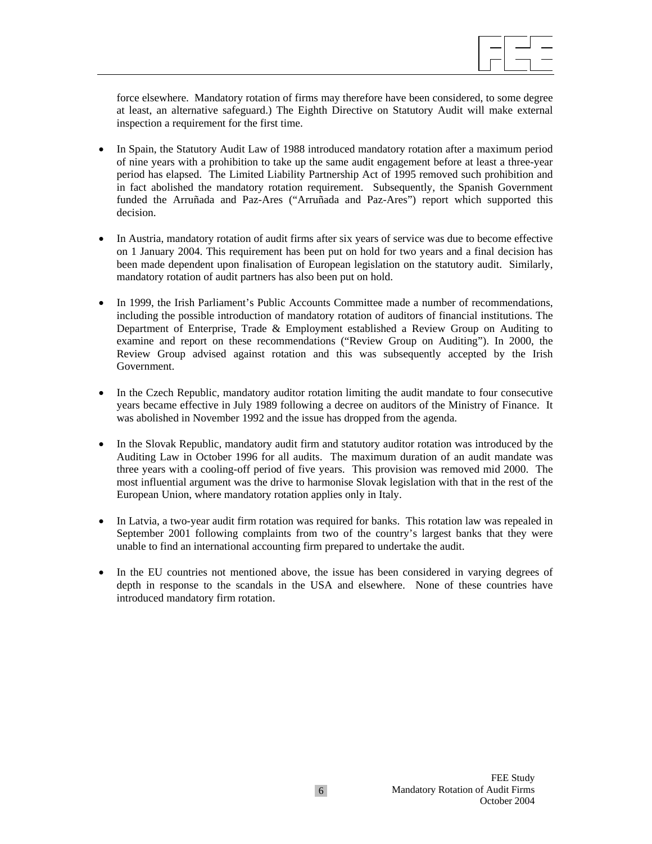$\overline{a}$ 

force elsewhere. Mandatory rotation of firms may therefore have been considered, to some degree at least, an alternative safeguard.) The Eighth Directive on Statutory Audit will make external inspection a requirement for the first time.

- In Spain, the Statutory Audit Law of 1988 introduced mandatory rotation after a maximum period of nine years with a prohibition to take up the same audit engagement before at least a three-year period has elapsed. The Limited Liability Partnership Act of 1995 removed such prohibition and in fact abolished the mandatory rotation requirement. Subsequently, the Spanish Government funded the Arruñada and Paz-Ares ("Arruñada and Paz-Ares") report which supported this decision.
- In Austria, mandatory rotation of audit firms after six years of service was due to become effective on 1 January 2004. This requirement has been put on hold for two years and a final decision has been made dependent upon finalisation of European legislation on the statutory audit. Similarly, mandatory rotation of audit partners has also been put on hold.
- In 1999, the Irish Parliament's Public Accounts Committee made a number of recommendations, including the possible introduction of mandatory rotation of auditors of financial institutions. The Department of Enterprise, Trade & Employment established a Review Group on Auditing to examine and report on these recommendations ("Review Group on Auditing"). In 2000, the Review Group advised against rotation and this was subsequently accepted by the Irish Government.
- In the Czech Republic, mandatory auditor rotation limiting the audit mandate to four consecutive years became effective in July 1989 following a decree on auditors of the Ministry of Finance. It was abolished in November 1992 and the issue has dropped from the agenda.
- In the Slovak Republic, mandatory audit firm and statutory auditor rotation was introduced by the Auditing Law in October 1996 for all audits. The maximum duration of an audit mandate was three years with a cooling-off period of five years. This provision was removed mid 2000. The most influential argument was the drive to harmonise Slovak legislation with that in the rest of the European Union, where mandatory rotation applies only in Italy.
- In Latvia, a two-year audit firm rotation was required for banks. This rotation law was repealed in September 2001 following complaints from two of the country's largest banks that they were unable to find an international accounting firm prepared to undertake the audit.
- In the EU countries not mentioned above, the issue has been considered in varying degrees of depth in response to the scandals in the USA and elsewhere. None of these countries have introduced mandatory firm rotation.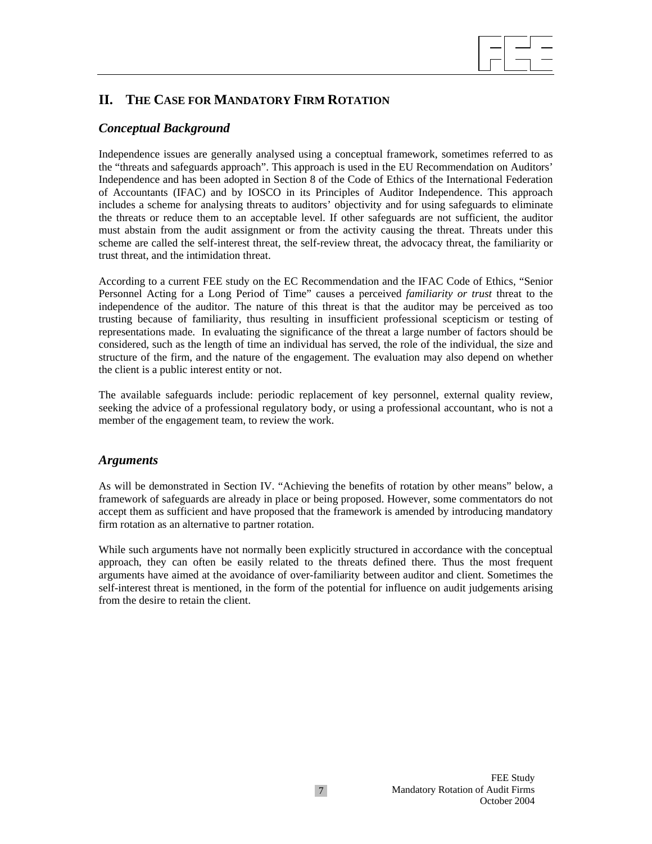

# **II. THE CASE FOR MANDATORY FIRM ROTATION**

### *Conceptual Background*

Independence issues are generally analysed using a conceptual framework, sometimes referred to as the "threats and safeguards approach". This approach is used in the EU Recommendation on Auditors' Independence and has been adopted in Section 8 of the Code of Ethics of the International Federation of Accountants (IFAC) and by IOSCO in its Principles of Auditor Independence. This approach includes a scheme for analysing threats to auditors' objectivity and for using safeguards to eliminate the threats or reduce them to an acceptable level. If other safeguards are not sufficient, the auditor must abstain from the audit assignment or from the activity causing the threat. Threats under this scheme are called the self-interest threat, the self-review threat, the advocacy threat, the familiarity or trust threat, and the intimidation threat.

According to a current FEE study on the EC Recommendation and the IFAC Code of Ethics, "Senior Personnel Acting for a Long Period of Time" causes a perceived *familiarity or trust* threat to the independence of the auditor. The nature of this threat is that the auditor may be perceived as too trusting because of familiarity, thus resulting in insufficient professional scepticism or testing of representations made. In evaluating the significance of the threat a large number of factors should be considered, such as the length of time an individual has served, the role of the individual, the size and structure of the firm, and the nature of the engagement. The evaluation may also depend on whether the client is a public interest entity or not.

The available safeguards include: periodic replacement of key personnel, external quality review, seeking the advice of a professional regulatory body, or using a professional accountant, who is not a member of the engagement team, to review the work.

#### *Arguments*

As will be demonstrated in Section IV. "Achieving the benefits of rotation by other means" below, a framework of safeguards are already in place or being proposed. However, some commentators do not accept them as sufficient and have proposed that the framework is amended by introducing mandatory firm rotation as an alternative to partner rotation.

While such arguments have not normally been explicitly structured in accordance with the conceptual approach, they can often be easily related to the threats defined there. Thus the most frequent arguments have aimed at the avoidance of over-familiarity between auditor and client. Sometimes the self-interest threat is mentioned, in the form of the potential for influence on audit judgements arising from the desire to retain the client.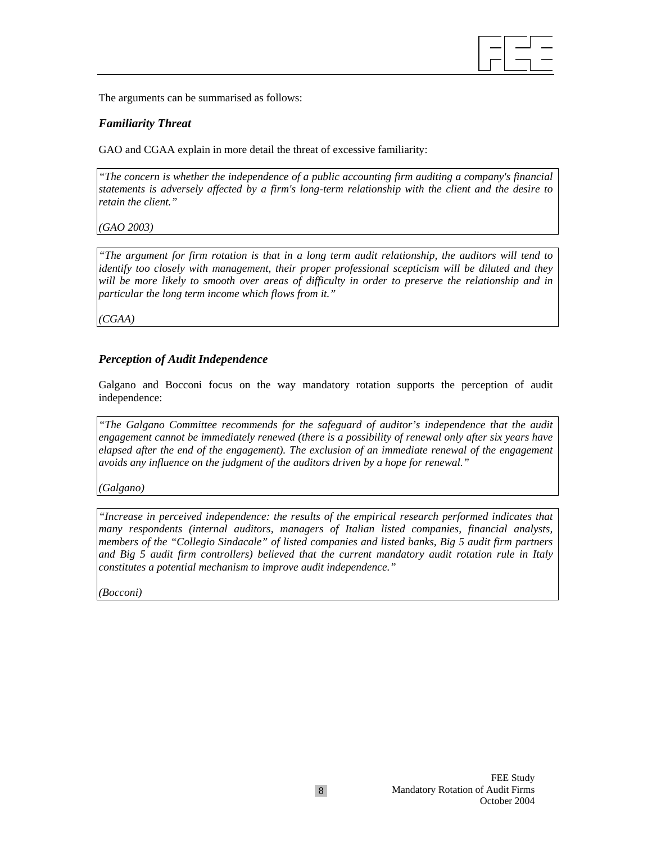

The arguments can be summarised as follows:

### *Familiarity Threat*

GAO and CGAA explain in more detail the threat of excessive familiarity:

*"The concern is whether the independence of a public accounting firm auditing a company's financial statements is adversely affected by a firm's long-term relationship with the client and the desire to retain the client."* 

*(GAO 2003)*

*"The argument for firm rotation is that in a long term audit relationship, the auditors will tend to identify too closely with management, their proper professional scepticism will be diluted and they will be more likely to smooth over areas of difficulty in order to preserve the relationship and in particular the long term income which flows from it."* 

*(CGAA)*

### *Perception of Audit Independence*

Galgano and Bocconi focus on the way mandatory rotation supports the perception of audit independence:

*"The Galgano Committee recommends for the safeguard of auditor's independence that the audit engagement cannot be immediately renewed (there is a possibility of renewal only after six years have elapsed after the end of the engagement). The exclusion of an immediate renewal of the engagement avoids any influence on the judgment of the auditors driven by a hope for renewal."* 

*(Galgano)*

*"Increase in perceived independence: the results of the empirical research performed indicates that many respondents (internal auditors, managers of Italian listed companies, financial analysts, members of the "Collegio Sindacale" of listed companies and listed banks, Big 5 audit firm partners and Big 5 audit firm controllers) believed that the current mandatory audit rotation rule in Italy constitutes a potential mechanism to improve audit independence."* 

*(Bocconi)*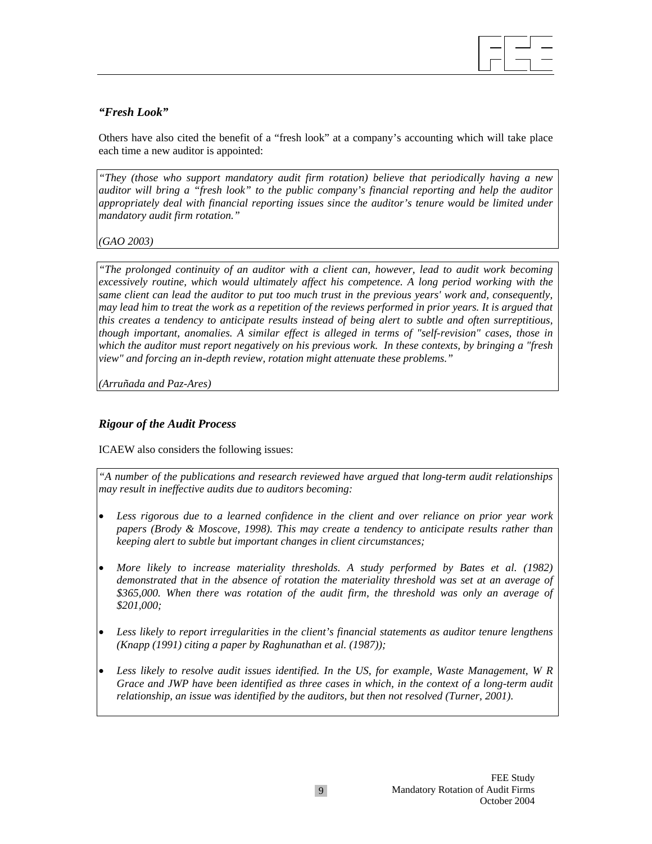

### *"Fresh Look"*

Others have also cited the benefit of a "fresh look" at a company's accounting which will take place each time a new auditor is appointed:

*"They (those who support mandatory audit firm rotation) believe that periodically having a new auditor will bring a "fresh look" to the public company's financial reporting and help the auditor appropriately deal with financial reporting issues since the auditor's tenure would be limited under mandatory audit firm rotation."* 

*(GAO 2003)* 

*"The prolonged continuity of an auditor with a client can, however, lead to audit work becoming excessively routine, which would ultimately affect his competence. A long period working with the same client can lead the auditor to put too much trust in the previous years' work and, consequently, may lead him to treat the work as a repetition of the reviews performed in prior years. It is argued that this creates a tendency to anticipate results instead of being alert to subtle and often surreptitious, though important, anomalies. A similar effect is alleged in terms of "self-revision" cases, those in which the auditor must report negatively on his previous work. In these contexts, by bringing a "fresh view" and forcing an in-depth review, rotation might attenuate these problems."* 

*(Arruñada and Paz-Ares)* 

### *Rigour of the Audit Process*

ICAEW also considers the following issues:

*"A number of the publications and research reviewed have argued that long-term audit relationships may result in ineffective audits due to auditors becoming:* 

- *Less rigorous due to a learned confidence in the client and over reliance on prior year work papers (Brody & Moscove, 1998). This may create a tendency to anticipate results rather than keeping alert to subtle but important changes in client circumstances;*
- *More likely to increase materiality thresholds. A study performed by Bates et al. (1982) demonstrated that in the absence of rotation the materiality threshold was set at an average of \$365,000. When there was rotation of the audit firm, the threshold was only an average of \$201,000;*
- *Less likely to report irregularities in the client's financial statements as auditor tenure lengthens (Knapp (1991) citing a paper by Raghunathan et al. (1987));*
- *Less likely to resolve audit issues identified. In the US, for example, Waste Management, W R Grace and JWP have been identified as three cases in which, in the context of a long-term audit relationship, an issue was identified by the auditors, but then not resolved (Turner, 2001).*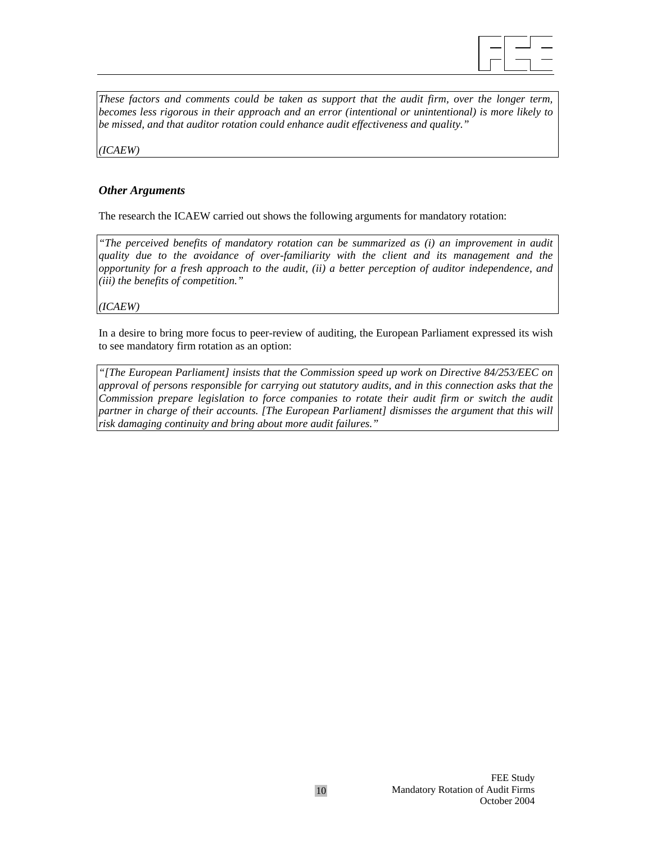

*These factors and comments could be taken as support that the audit firm, over the longer term, becomes less rigorous in their approach and an error (intentional or unintentional) is more likely to be missed, and that auditor rotation could enhance audit effectiveness and quality."* 

*(ICAEW)* 

### *Other Arguments*

The research the ICAEW carried out shows the following arguments for mandatory rotation:

*"The perceived benefits of mandatory rotation can be summarized as (i) an improvement in audit quality due to the avoidance of over-familiarity with the client and its management and the opportunity for a fresh approach to the audit, (ii) a better perception of auditor independence, and (iii) the benefits of competition."* 

*(ICAEW)*

In a desire to bring more focus to peer-review of auditing, the European Parliament expressed its wish to see mandatory firm rotation as an option:

*"[The European Parliament] insists that the Commission speed up work on Directive 84/253/EEC on approval of persons responsible for carrying out statutory audits, and in this connection asks that the Commission prepare legislation to force companies to rotate their audit firm or switch the audit partner in charge of their accounts. [The European Parliament] dismisses the argument that this will risk damaging continuity and bring about more audit failures."*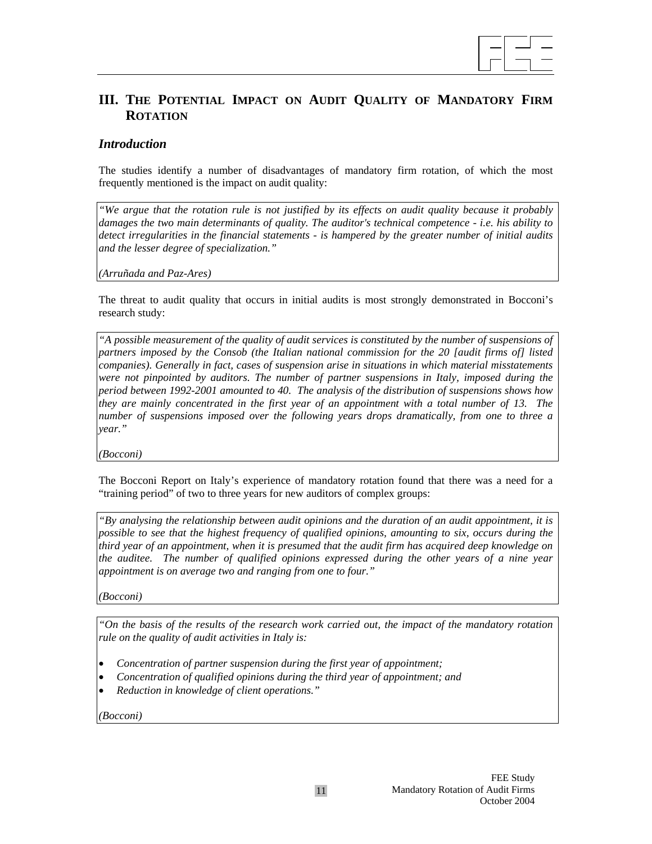

# **III. THE POTENTIAL IMPACT ON AUDIT QUALITY OF MANDATORY FIRM ROTATION**

### *Introduction*

The studies identify a number of disadvantages of mandatory firm rotation, of which the most frequently mentioned is the impact on audit quality:

*"We argue that the rotation rule is not justified by its effects on audit quality because it probably damages the two main determinants of quality. The auditor's technical competence - i.e. his ability to detect irregularities in the financial statements - is hampered by the greater number of initial audits and the lesser degree of specialization."* 

*(Arruñada and Paz-Ares)*

The threat to audit quality that occurs in initial audits is most strongly demonstrated in Bocconi's research study:

*"A possible measurement of the quality of audit services is constituted by the number of suspensions of partners imposed by the Consob (the Italian national commission for the 20 [audit firms of] listed companies). Generally in fact, cases of suspension arise in situations in which material misstatements were not pinpointed by auditors. The number of partner suspensions in Italy, imposed during the period between 1992-2001 amounted to 40. The analysis of the distribution of suspensions shows how they are mainly concentrated in the first year of an appointment with a total number of 13. The number of suspensions imposed over the following years drops dramatically, from one to three a year."* 

*(Bocconi)*

The Bocconi Report on Italy's experience of mandatory rotation found that there was a need for a "training period" of two to three years for new auditors of complex groups:

*"By analysing the relationship between audit opinions and the duration of an audit appointment, it is possible to see that the highest frequency of qualified opinions, amounting to six, occurs during the third year of an appointment, when it is presumed that the audit firm has acquired deep knowledge on the auditee. The number of qualified opinions expressed during the other years of a nine year appointment is on average two and ranging from one to four."* 

*(Bocconi)* 

*"On the basis of the results of the research work carried out, the impact of the mandatory rotation rule on the quality of audit activities in Italy is:* 

- *Concentration of partner suspension during the first year of appointment;*
- *Concentration of qualified opinions during the third year of appointment; and*
- *Reduction in knowledge of client operations."*

*(Bocconi)*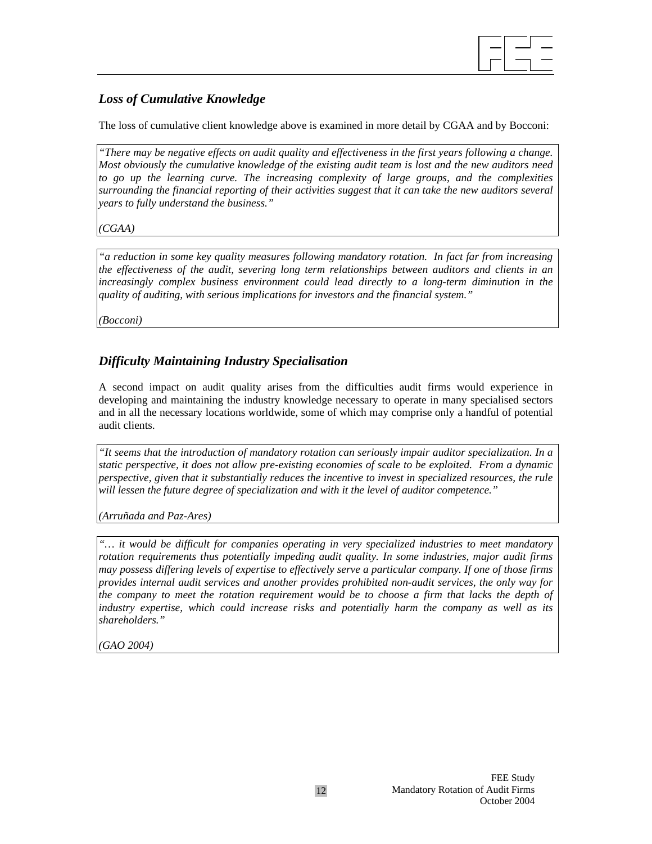# *Loss of Cumulative Knowledge*

The loss of cumulative client knowledge above is examined in more detail by CGAA and by Bocconi:

*"There may be negative effects on audit quality and effectiveness in the first years following a change. Most obviously the cumulative knowledge of the existing audit team is lost and the new auditors need to go up the learning curve. The increasing complexity of large groups, and the complexities surrounding the financial reporting of their activities suggest that it can take the new auditors several years to fully understand the business."* 

*(CGAA)*

*"a reduction in some key quality measures following mandatory rotation. In fact far from increasing the effectiveness of the audit, severing long term relationships between auditors and clients in an increasingly complex business environment could lead directly to a long-term diminution in the quality of auditing, with serious implications for investors and the financial system."* 

*(Bocconi)* 

# *Difficulty Maintaining Industry Specialisation*

A second impact on audit quality arises from the difficulties audit firms would experience in developing and maintaining the industry knowledge necessary to operate in many specialised sectors and in all the necessary locations worldwide, some of which may comprise only a handful of potential audit clients.

*"It seems that the introduction of mandatory rotation can seriously impair auditor specialization. In a static perspective, it does not allow pre-existing economies of scale to be exploited. From a dynamic perspective, given that it substantially reduces the incentive to invest in specialized resources, the rule will lessen the future degree of specialization and with it the level of auditor competence."* 

*(Arruñada and Paz-Ares)*

*"… it would be difficult for companies operating in very specialized industries to meet mandatory rotation requirements thus potentially impeding audit quality. In some industries, major audit firms may possess differing levels of expertise to effectively serve a particular company. If one of those firms provides internal audit services and another provides prohibited non-audit services, the only way for the company to meet the rotation requirement would be to choose a firm that lacks the depth of industry expertise, which could increase risks and potentially harm the company as well as its shareholders."* 

*(GAO 2004)*

 $\overline{a}$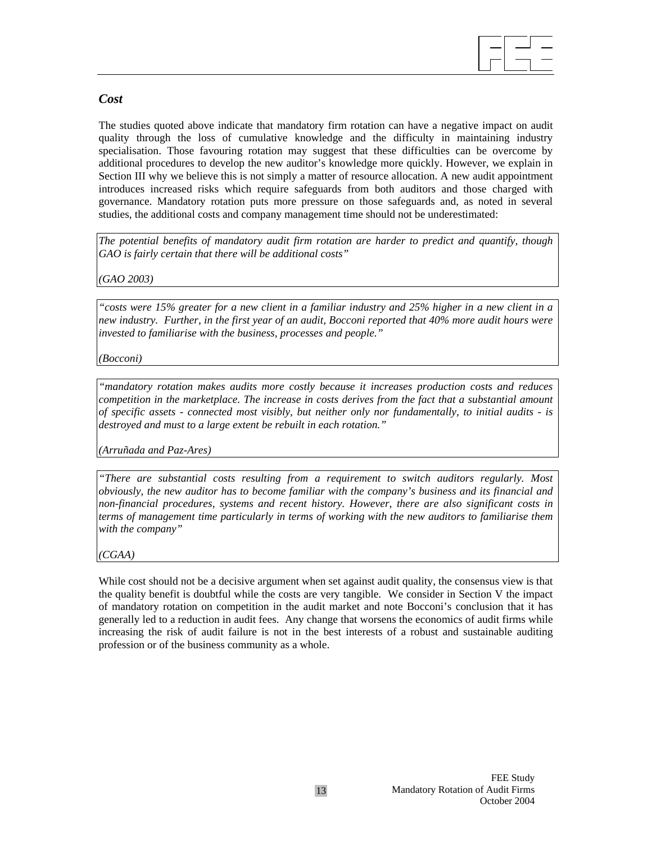

### *Cost*

The studies quoted above indicate that mandatory firm rotation can have a negative impact on audit quality through the loss of cumulative knowledge and the difficulty in maintaining industry specialisation. Those favouring rotation may suggest that these difficulties can be overcome by additional procedures to develop the new auditor's knowledge more quickly. However, we explain in Section III why we believe this is not simply a matter of resource allocation. A new audit appointment introduces increased risks which require safeguards from both auditors and those charged with governance. Mandatory rotation puts more pressure on those safeguards and, as noted in several studies, the additional costs and company management time should not be underestimated:

*The potential benefits of mandatory audit firm rotation are harder to predict and quantify, though GAO is fairly certain that there will be additional costs"* 

*(GAO 2003)*

*"costs were 15% greater for a new client in a familiar industry and 25% higher in a new client in a new industry. Further, in the first year of an audit, Bocconi reported that 40% more audit hours were invested to familiarise with the business, processes and people."* 

*(Bocconi)*

*"mandatory rotation makes audits more costly because it increases production costs and reduces competition in the marketplace. The increase in costs derives from the fact that a substantial amount of specific assets - connected most visibly, but neither only nor fundamentally, to initial audits - is destroyed and must to a large extent be rebuilt in each rotation."* 

*(Arruñada and Paz-Ares)* 

*"There are substantial costs resulting from a requirement to switch auditors regularly. Most obviously, the new auditor has to become familiar with the company's business and its financial and non-financial procedures, systems and recent history. However, there are also significant costs in terms of management time particularly in terms of working with the new auditors to familiarise them with the company"* 

*(CGAA)*

While cost should not be a decisive argument when set against audit quality, the consensus view is that the quality benefit is doubtful while the costs are very tangible. We consider in Section V the impact of mandatory rotation on competition in the audit market and note Bocconi's conclusion that it has generally led to a reduction in audit fees. Any change that worsens the economics of audit firms while increasing the risk of audit failure is not in the best interests of a robust and sustainable auditing profession or of the business community as a whole.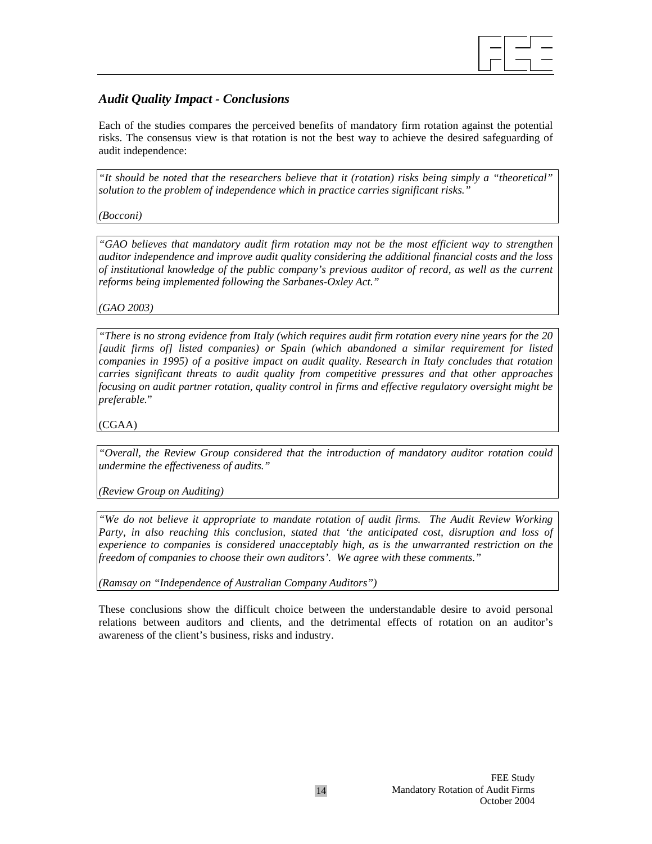

## *Audit Quality Impact - Conclusions*

Each of the studies compares the perceived benefits of mandatory firm rotation against the potential risks. The consensus view is that rotation is not the best way to achieve the desired safeguarding of audit independence:

*"It should be noted that the researchers believe that it (rotation) risks being simply a "theoretical" solution to the problem of independence which in practice carries significant risks."* 

*(Bocconi)*

*"GAO believes that mandatory audit firm rotation may not be the most efficient way to strengthen auditor independence and improve audit quality considering the additional financial costs and the loss of institutional knowledge of the public company's previous auditor of record, as well as the current reforms being implemented following the Sarbanes-Oxley Act."* 

*(GAO 2003)*

*"There is no strong evidence from Italy (which requires audit firm rotation every nine years for the 20 [audit firms of] listed companies) or Spain (which abandoned a similar requirement for listed companies in 1995) of a positive impact on audit quality. Research in Italy concludes that rotation carries significant threats to audit quality from competitive pressures and that other approaches focusing on audit partner rotation, quality control in firms and effective regulatory oversight might be preferable.*"

(CGAA)

*"Overall, the Review Group considered that the introduction of mandatory auditor rotation could undermine the effectiveness of audits."* 

*(Review Group on Auditing)* 

*"We do not believe it appropriate to mandate rotation of audit firms. The Audit Review Working Party, in also reaching this conclusion, stated that 'the anticipated cost, disruption and loss of experience to companies is considered unacceptably high, as is the unwarranted restriction on the freedom of companies to choose their own auditors'. We agree with these comments."* 

*(Ramsay on "Independence of Australian Company Auditors")* 

These conclusions show the difficult choice between the understandable desire to avoid personal relations between auditors and clients, and the detrimental effects of rotation on an auditor's awareness of the client's business, risks and industry.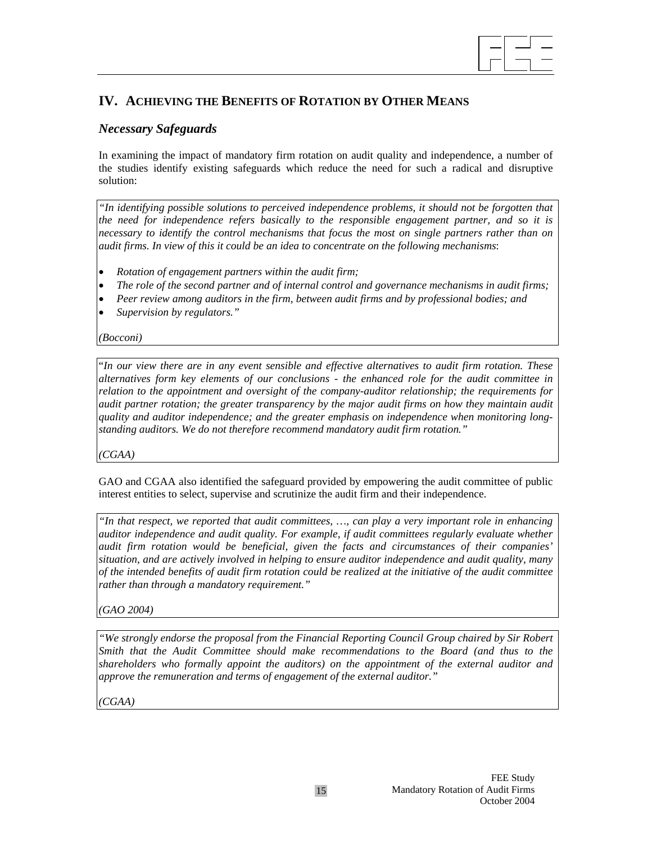# $\overline{a}$

# **IV. ACHIEVING THE BENEFITS OF ROTATION BY OTHER MEANS**

## *Necessary Safeguards*

In examining the impact of mandatory firm rotation on audit quality and independence, a number of the studies identify existing safeguards which reduce the need for such a radical and disruptive solution:

*"In identifying possible solutions to perceived independence problems, it should not be forgotten that the need for independence refers basically to the responsible engagement partner, and so it is necessary to identify the control mechanisms that focus the most on single partners rather than on audit firms. In view of this it could be an idea to concentrate on the following mechanisms*:

- *Rotation of engagement partners within the audit firm;*
- *The role of the second partner and of internal control and governance mechanisms in audit firms;*
- *Peer review among auditors in the firm, between audit firms and by professional bodies; and*
- *Supervision by regulators."*

*(Bocconi)* 

"*In our view there are in any event sensible and effective alternatives to audit firm rotation. These alternatives form key elements of our conclusions - the enhanced role for the audit committee in relation to the appointment and oversight of the company-auditor relationship; the requirements for audit partner rotation; the greater transparency by the major audit firms on how they maintain audit quality and auditor independence; and the greater emphasis on independence when monitoring longstanding auditors. We do not therefore recommend mandatory audit firm rotation."* 

*(CGAA)* 

GAO and CGAA also identified the safeguard provided by empowering the audit committee of public interest entities to select, supervise and scrutinize the audit firm and their independence.

*"In that respect, we reported that audit committees, …, can play a very important role in enhancing auditor independence and audit quality. For example, if audit committees regularly evaluate whether audit firm rotation would be beneficial, given the facts and circumstances of their companies' situation, and are actively involved in helping to ensure auditor independence and audit quality, many of the intended benefits of audit firm rotation could be realized at the initiative of the audit committee rather than through a mandatory requirement."* 

*(GAO 2004)*

*"We strongly endorse the proposal from the Financial Reporting Council Group chaired by Sir Robert Smith that the Audit Committee should make recommendations to the Board (and thus to the shareholders who formally appoint the auditors) on the appointment of the external auditor and approve the remuneration and terms of engagement of the external auditor."* 

*(CGAA)*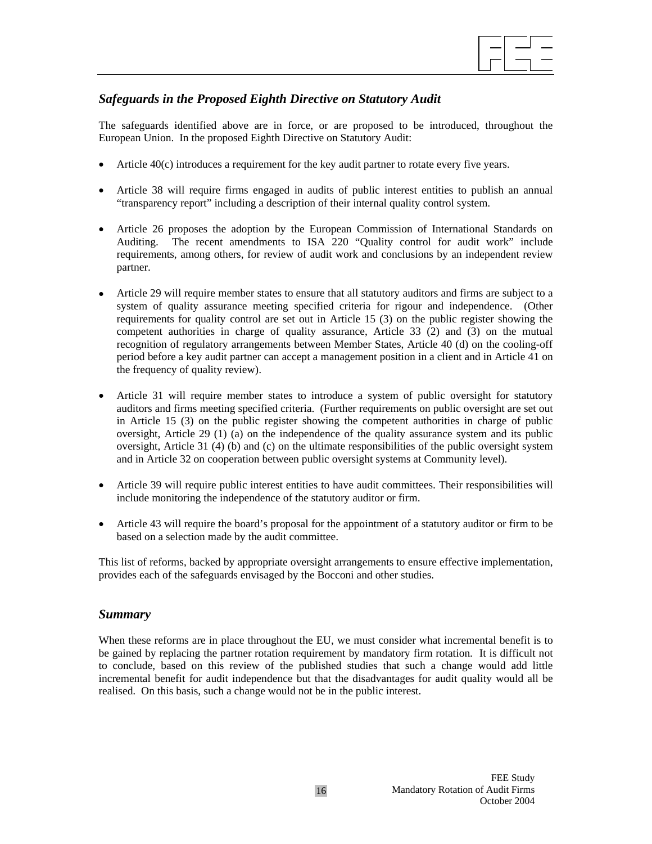

## *Safeguards in the Proposed Eighth Directive on Statutory Audit*

The safeguards identified above are in force, or are proposed to be introduced, throughout the European Union. In the proposed Eighth Directive on Statutory Audit:

- Article 40(c) introduces a requirement for the key audit partner to rotate every five years.
- Article 38 will require firms engaged in audits of public interest entities to publish an annual "transparency report" including a description of their internal quality control system.
- Article 26 proposes the adoption by the European Commission of International Standards on Auditing. The recent amendments to ISA 220 "Quality control for audit work" include requirements, among others, for review of audit work and conclusions by an independent review partner.
- Article 29 will require member states to ensure that all statutory auditors and firms are subject to a system of quality assurance meeting specified criteria for rigour and independence. (Other requirements for quality control are set out in Article 15 (3) on the public register showing the competent authorities in charge of quality assurance, Article 33 (2) and (3) on the mutual recognition of regulatory arrangements between Member States, Article 40 (d) on the cooling-off period before a key audit partner can accept a management position in a client and in Article 41 on the frequency of quality review).
- Article 31 will require member states to introduce a system of public oversight for statutory auditors and firms meeting specified criteria. (Further requirements on public oversight are set out in Article 15 (3) on the public register showing the competent authorities in charge of public oversight, Article 29 (1) (a) on the independence of the quality assurance system and its public oversight, Article 31 (4) (b) and (c) on the ultimate responsibilities of the public oversight system and in Article 32 on cooperation between public oversight systems at Community level).
- Article 39 will require public interest entities to have audit committees. Their responsibilities will include monitoring the independence of the statutory auditor or firm.
- Article 43 will require the board's proposal for the appointment of a statutory auditor or firm to be based on a selection made by the audit committee.

This list of reforms, backed by appropriate oversight arrangements to ensure effective implementation, provides each of the safeguards envisaged by the Bocconi and other studies.

### *Summary*

When these reforms are in place throughout the EU, we must consider what incremental benefit is to be gained by replacing the partner rotation requirement by mandatory firm rotation. It is difficult not to conclude, based on this review of the published studies that such a change would add little incremental benefit for audit independence but that the disadvantages for audit quality would all be realised. On this basis, such a change would not be in the public interest.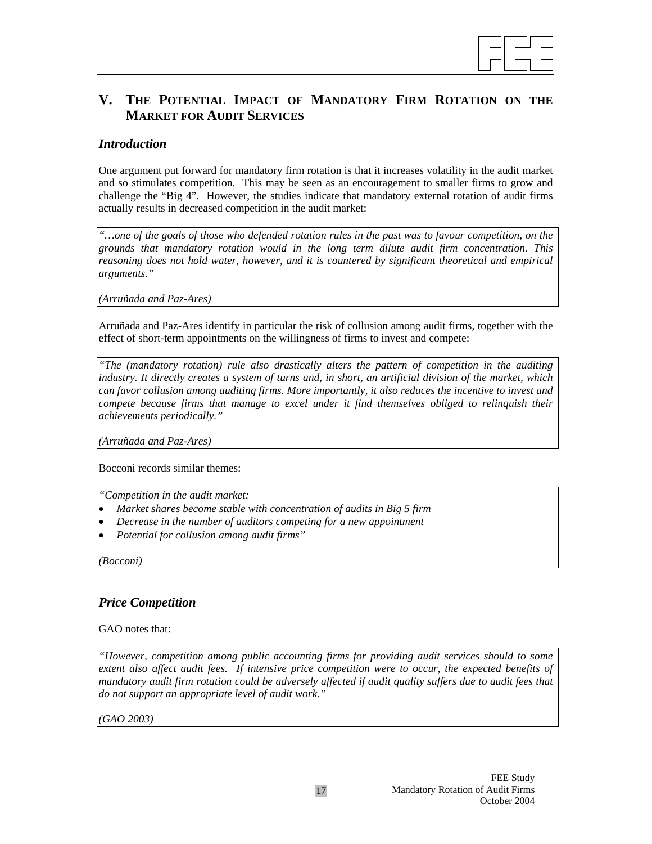

# **V. THE POTENTIAL IMPACT OF MANDATORY FIRM ROTATION ON THE MARKET FOR AUDIT SERVICES**

### *Introduction*

One argument put forward for mandatory firm rotation is that it increases volatility in the audit market and so stimulates competition. This may be seen as an encouragement to smaller firms to grow and challenge the "Big 4". However, the studies indicate that mandatory external rotation of audit firms actually results in decreased competition in the audit market:

*"…one of the goals of those who defended rotation rules in the past was to favour competition, on the grounds that mandatory rotation would in the long term dilute audit firm concentration. This reasoning does not hold water, however, and it is countered by significant theoretical and empirical arguments."* 

*(Arruñada and Paz-Ares)* 

Arruñada and Paz-Ares identify in particular the risk of collusion among audit firms, together with the effect of short-term appointments on the willingness of firms to invest and compete:

*"The (mandatory rotation) rule also drastically alters the pattern of competition in the auditing industry. It directly creates a system of turns and, in short, an artificial division of the market, which can favor collusion among auditing firms. More importantly, it also reduces the incentive to invest and compete because firms that manage to excel under it find themselves obliged to relinquish their achievements periodically."* 

*(Arruñada and Paz-Ares)* 

Bocconi records similar themes:

*"Competition in the audit market:* 

- *Market shares become stable with concentration of audits in Big 5 firm*
- *Decrease in the number of auditors competing for a new appointment*
- *Potential for collusion among audit firms"*

*(Bocconi)* 

### *Price Competition*

GAO notes that:

*"However, competition among public accounting firms for providing audit services should to some extent also affect audit fees. If intensive price competition were to occur, the expected benefits of mandatory audit firm rotation could be adversely affected if audit quality suffers due to audit fees that do not support an appropriate level of audit work."* 

*(GAO 2003)*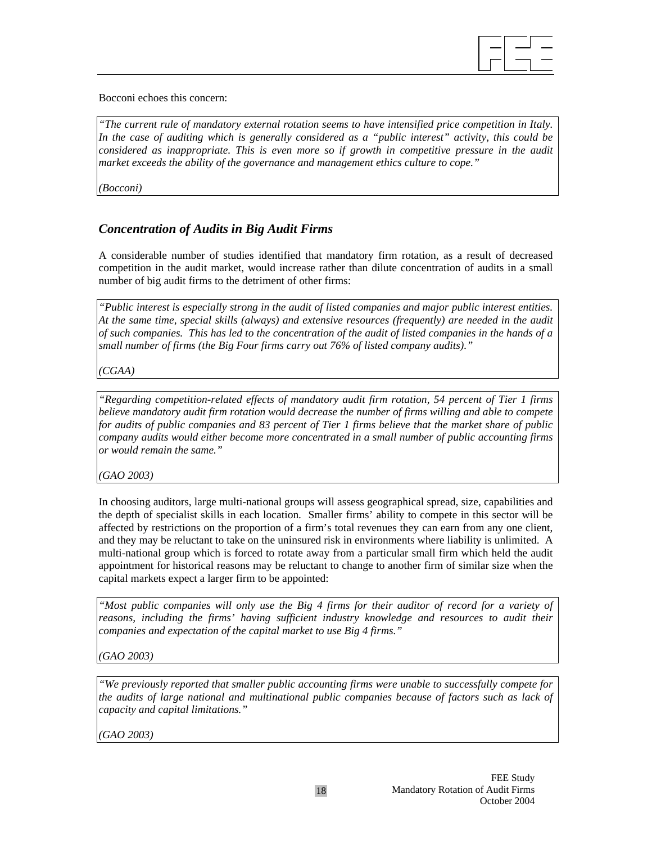

Bocconi echoes this concern:

*"The current rule of mandatory external rotation seems to have intensified price competition in Italy. In the case of auditing which is generally considered as a "public interest" activity, this could be considered as inappropriate. This is even more so if growth in competitive pressure in the audit market exceeds the ability of the governance and management ethics culture to cope."* 

*(Bocconi)*

# *Concentration of Audits in Big Audit Firms*

A considerable number of studies identified that mandatory firm rotation, as a result of decreased competition in the audit market, would increase rather than dilute concentration of audits in a small number of big audit firms to the detriment of other firms:

*"Public interest is especially strong in the audit of listed companies and major public interest entities. At the same time, special skills (always) and extensive resources (frequently) are needed in the audit of such companies. This has led to the concentration of the audit of listed companies in the hands of a small number of firms (the Big Four firms carry out 76% of listed company audits)."* 

*(CGAA)* 

*"Regarding competition-related effects of mandatory audit firm rotation, 54 percent of Tier 1 firms believe mandatory audit firm rotation would decrease the number of firms willing and able to compete for audits of public companies and 83 percent of Tier 1 firms believe that the market share of public company audits would either become more concentrated in a small number of public accounting firms or would remain the same."* 

*(GAO 2003)* 

In choosing auditors, large multi-national groups will assess geographical spread, size, capabilities and the depth of specialist skills in each location. Smaller firms' ability to compete in this sector will be affected by restrictions on the proportion of a firm's total revenues they can earn from any one client, and they may be reluctant to take on the uninsured risk in environments where liability is unlimited. A multi-national group which is forced to rotate away from a particular small firm which held the audit appointment for historical reasons may be reluctant to change to another firm of similar size when the capital markets expect a larger firm to be appointed:

*"Most public companies will only use the Big 4 firms for their auditor of record for a variety of reasons, including the firms' having sufficient industry knowledge and resources to audit their companies and expectation of the capital market to use Big 4 firms."* 

*(GAO 2003)*

*"We previously reported that smaller public accounting firms were unable to successfully compete for the audits of large national and multinational public companies because of factors such as lack of capacity and capital limitations."* 

*(GAO 2003)*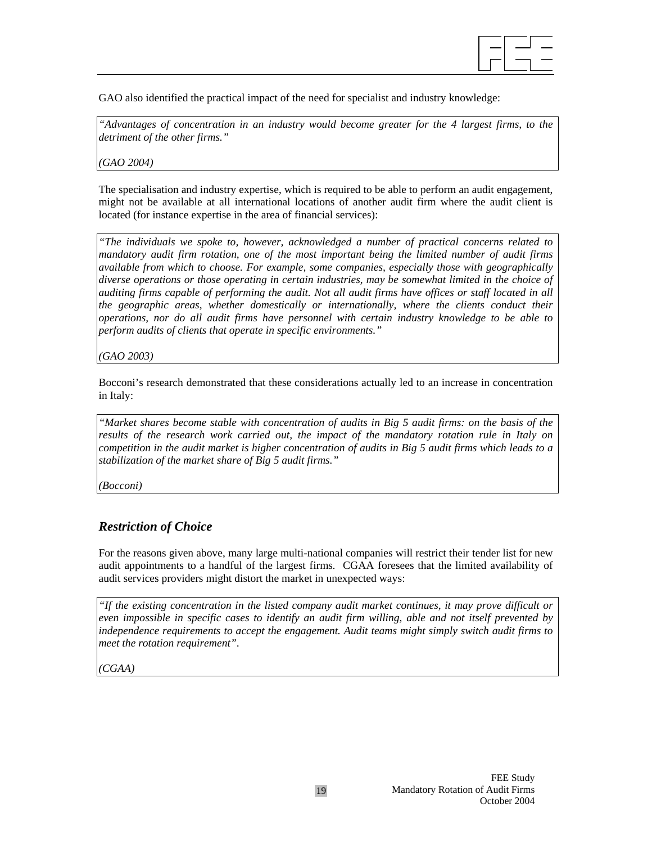

GAO also identified the practical impact of the need for specialist and industry knowledge:

*"Advantages of concentration in an industry would become greater for the 4 largest firms, to the detriment of the other firms."* 

*(GAO 2004)* 

The specialisation and industry expertise, which is required to be able to perform an audit engagement, might not be available at all international locations of another audit firm where the audit client is located (for instance expertise in the area of financial services):

*"The individuals we spoke to, however, acknowledged a number of practical concerns related to mandatory audit firm rotation, one of the most important being the limited number of audit firms available from which to choose. For example, some companies, especially those with geographically diverse operations or those operating in certain industries, may be somewhat limited in the choice of auditing firms capable of performing the audit. Not all audit firms have offices or staff located in all the geographic areas, whether domestically or internationally, where the clients conduct their operations, nor do all audit firms have personnel with certain industry knowledge to be able to perform audits of clients that operate in specific environments."* 

*(GAO 2003)* 

Bocconi's research demonstrated that these considerations actually led to an increase in concentration in Italy:

*"Market shares become stable with concentration of audits in Big 5 audit firms: on the basis of the results of the research work carried out, the impact of the mandatory rotation rule in Italy on competition in the audit market is higher concentration of audits in Big 5 audit firms which leads to a stabilization of the market share of Big 5 audit firms."* 

*(Bocconi)* 

### *Restriction of Choice*

For the reasons given above, many large multi-national companies will restrict their tender list for new audit appointments to a handful of the largest firms. CGAA foresees that the limited availability of audit services providers might distort the market in unexpected ways:

*"If the existing concentration in the listed company audit market continues, it may prove difficult or even impossible in specific cases to identify an audit firm willing, able and not itself prevented by independence requirements to accept the engagement. Audit teams might simply switch audit firms to meet the rotation requirement"*.

*(CGAA)*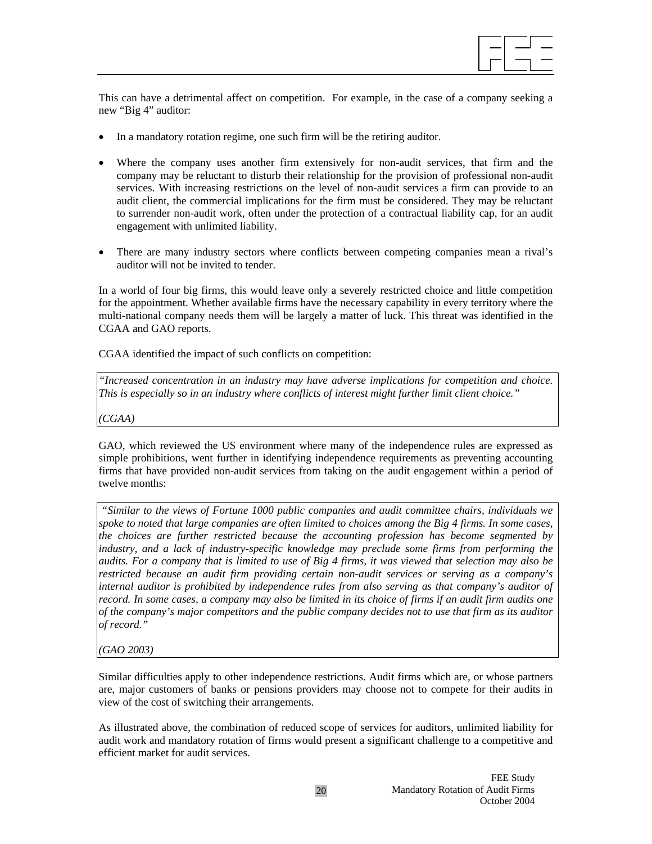

This can have a detrimental affect on competition. For example, in the case of a company seeking a new "Big 4" auditor:

- In a mandatory rotation regime, one such firm will be the retiring auditor.
- Where the company uses another firm extensively for non-audit services, that firm and the company may be reluctant to disturb their relationship for the provision of professional non-audit services. With increasing restrictions on the level of non-audit services a firm can provide to an audit client, the commercial implications for the firm must be considered. They may be reluctant to surrender non-audit work, often under the protection of a contractual liability cap, for an audit engagement with unlimited liability.
- There are many industry sectors where conflicts between competing companies mean a rival's auditor will not be invited to tender.

In a world of four big firms, this would leave only a severely restricted choice and little competition for the appointment. Whether available firms have the necessary capability in every territory where the multi-national company needs them will be largely a matter of luck. This threat was identified in the CGAA and GAO reports.

CGAA identified the impact of such conflicts on competition:

*"Increased concentration in an industry may have adverse implications for competition and choice. This is especially so in an industry where conflicts of interest might further limit client choice."* 

*(CGAA)* 

GAO, which reviewed the US environment where many of the independence rules are expressed as simple prohibitions, went further in identifying independence requirements as preventing accounting firms that have provided non-audit services from taking on the audit engagement within a period of twelve months:

 *"Similar to the views of Fortune 1000 public companies and audit committee chairs, individuals we spoke to noted that large companies are often limited to choices among the Big 4 firms. In some cases, the choices are further restricted because the accounting profession has become segmented by industry, and a lack of industry-specific knowledge may preclude some firms from performing the audits. For a company that is limited to use of Big 4 firms, it was viewed that selection may also be restricted because an audit firm providing certain non-audit services or serving as a company's internal auditor is prohibited by independence rules from also serving as that company's auditor of record. In some cases, a company may also be limited in its choice of firms if an audit firm audits one of the company's major competitors and the public company decides not to use that firm as its auditor of record."* 

*(GAO 2003)* 

Similar difficulties apply to other independence restrictions. Audit firms which are, or whose partners are, major customers of banks or pensions providers may choose not to compete for their audits in view of the cost of switching their arrangements.

As illustrated above, the combination of reduced scope of services for auditors, unlimited liability for audit work and mandatory rotation of firms would present a significant challenge to a competitive and efficient market for audit services.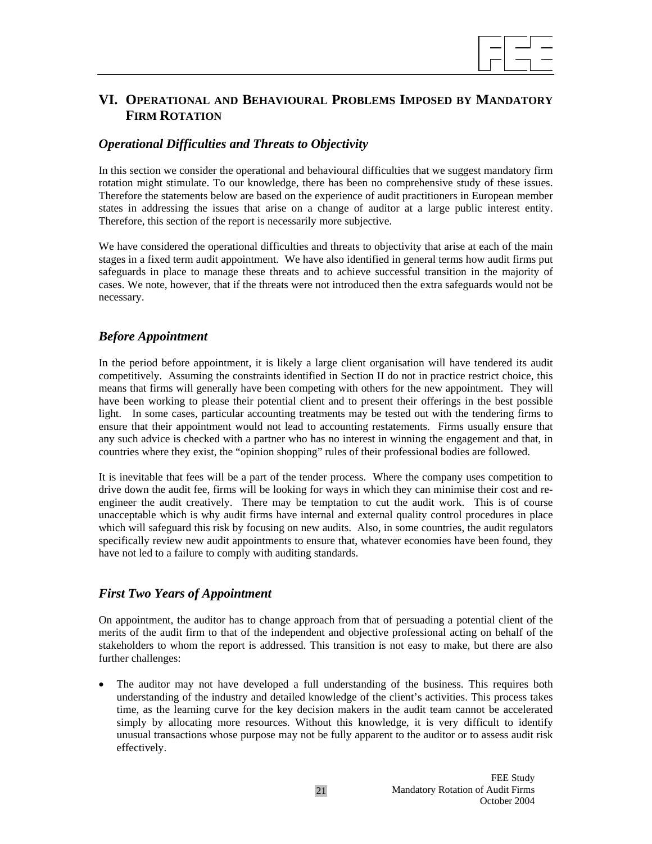

# **VI. OPERATIONAL AND BEHAVIOURAL PROBLEMS IMPOSED BY MANDATORY FIRM ROTATION**

### *Operational Difficulties and Threats to Objectivity*

In this section we consider the operational and behavioural difficulties that we suggest mandatory firm rotation might stimulate. To our knowledge, there has been no comprehensive study of these issues. Therefore the statements below are based on the experience of audit practitioners in European member states in addressing the issues that arise on a change of auditor at a large public interest entity. Therefore, this section of the report is necessarily more subjective.

We have considered the operational difficulties and threats to objectivity that arise at each of the main stages in a fixed term audit appointment. We have also identified in general terms how audit firms put safeguards in place to manage these threats and to achieve successful transition in the majority of cases. We note, however, that if the threats were not introduced then the extra safeguards would not be necessary.

### *Before Appointment*

In the period before appointment, it is likely a large client organisation will have tendered its audit competitively. Assuming the constraints identified in Section II do not in practice restrict choice, this means that firms will generally have been competing with others for the new appointment. They will have been working to please their potential client and to present their offerings in the best possible light. In some cases, particular accounting treatments may be tested out with the tendering firms to ensure that their appointment would not lead to accounting restatements. Firms usually ensure that any such advice is checked with a partner who has no interest in winning the engagement and that, in countries where they exist, the "opinion shopping" rules of their professional bodies are followed.

It is inevitable that fees will be a part of the tender process. Where the company uses competition to drive down the audit fee, firms will be looking for ways in which they can minimise their cost and reengineer the audit creatively. There may be temptation to cut the audit work. This is of course unacceptable which is why audit firms have internal and external quality control procedures in place which will safeguard this risk by focusing on new audits. Also, in some countries, the audit regulators specifically review new audit appointments to ensure that, whatever economies have been found, they have not led to a failure to comply with auditing standards.

### *First Two Years of Appointment*

On appointment, the auditor has to change approach from that of persuading a potential client of the merits of the audit firm to that of the independent and objective professional acting on behalf of the stakeholders to whom the report is addressed. This transition is not easy to make, but there are also further challenges:

The auditor may not have developed a full understanding of the business. This requires both understanding of the industry and detailed knowledge of the client's activities. This process takes time, as the learning curve for the key decision makers in the audit team cannot be accelerated simply by allocating more resources. Without this knowledge, it is very difficult to identify unusual transactions whose purpose may not be fully apparent to the auditor or to assess audit risk effectively.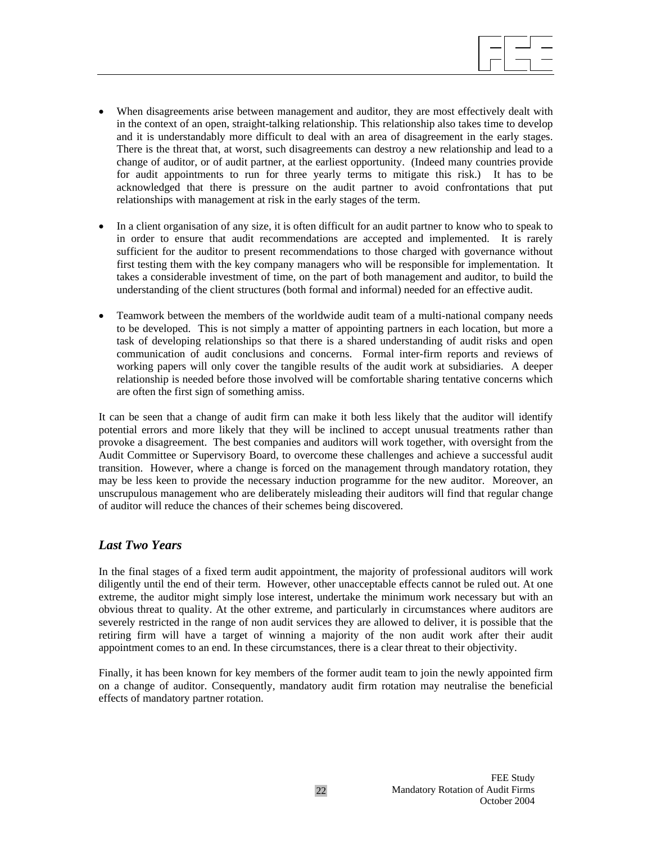

- When disagreements arise between management and auditor, they are most effectively dealt with in the context of an open, straight-talking relationship. This relationship also takes time to develop and it is understandably more difficult to deal with an area of disagreement in the early stages. There is the threat that, at worst, such disagreements can destroy a new relationship and lead to a change of auditor, or of audit partner, at the earliest opportunity. (Indeed many countries provide for audit appointments to run for three yearly terms to mitigate this risk.) It has to be acknowledged that there is pressure on the audit partner to avoid confrontations that put relationships with management at risk in the early stages of the term.
- In a client organisation of any size, it is often difficult for an audit partner to know who to speak to in order to ensure that audit recommendations are accepted and implemented. It is rarely sufficient for the auditor to present recommendations to those charged with governance without first testing them with the key company managers who will be responsible for implementation. It takes a considerable investment of time, on the part of both management and auditor, to build the understanding of the client structures (both formal and informal) needed for an effective audit.
- Teamwork between the members of the worldwide audit team of a multi-national company needs to be developed. This is not simply a matter of appointing partners in each location, but more a task of developing relationships so that there is a shared understanding of audit risks and open communication of audit conclusions and concerns. Formal inter-firm reports and reviews of working papers will only cover the tangible results of the audit work at subsidiaries. A deeper relationship is needed before those involved will be comfortable sharing tentative concerns which are often the first sign of something amiss.

It can be seen that a change of audit firm can make it both less likely that the auditor will identify potential errors and more likely that they will be inclined to accept unusual treatments rather than provoke a disagreement. The best companies and auditors will work together, with oversight from the Audit Committee or Supervisory Board, to overcome these challenges and achieve a successful audit transition. However, where a change is forced on the management through mandatory rotation, they may be less keen to provide the necessary induction programme for the new auditor. Moreover, an unscrupulous management who are deliberately misleading their auditors will find that regular change of auditor will reduce the chances of their schemes being discovered.

### *Last Two Years*

In the final stages of a fixed term audit appointment, the majority of professional auditors will work diligently until the end of their term. However, other unacceptable effects cannot be ruled out. At one extreme, the auditor might simply lose interest, undertake the minimum work necessary but with an obvious threat to quality. At the other extreme, and particularly in circumstances where auditors are severely restricted in the range of non audit services they are allowed to deliver, it is possible that the retiring firm will have a target of winning a majority of the non audit work after their audit appointment comes to an end. In these circumstances, there is a clear threat to their objectivity.

Finally, it has been known for key members of the former audit team to join the newly appointed firm on a change of auditor. Consequently, mandatory audit firm rotation may neutralise the beneficial effects of mandatory partner rotation.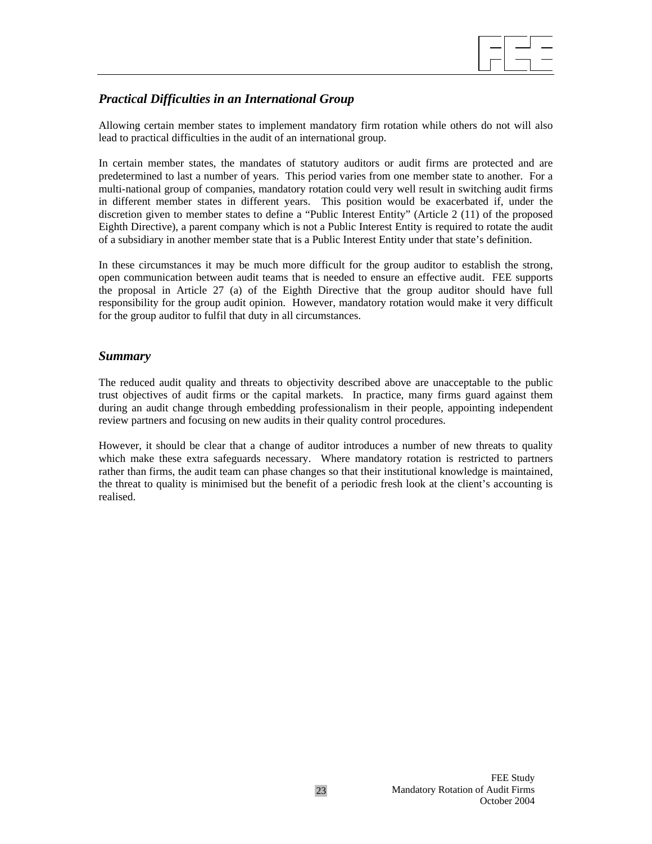

## *Practical Difficulties in an International Group*

Allowing certain member states to implement mandatory firm rotation while others do not will also lead to practical difficulties in the audit of an international group.

In certain member states, the mandates of statutory auditors or audit firms are protected and are predetermined to last a number of years. This period varies from one member state to another. For a multi-national group of companies, mandatory rotation could very well result in switching audit firms in different member states in different years. This position would be exacerbated if, under the discretion given to member states to define a "Public Interest Entity" (Article 2 (11) of the proposed Eighth Directive), a parent company which is not a Public Interest Entity is required to rotate the audit of a subsidiary in another member state that is a Public Interest Entity under that state's definition.

In these circumstances it may be much more difficult for the group auditor to establish the strong, open communication between audit teams that is needed to ensure an effective audit. FEE supports the proposal in Article 27 (a) of the Eighth Directive that the group auditor should have full responsibility for the group audit opinion. However, mandatory rotation would make it very difficult for the group auditor to fulfil that duty in all circumstances.

### *Summary*

The reduced audit quality and threats to objectivity described above are unacceptable to the public trust objectives of audit firms or the capital markets. In practice, many firms guard against them during an audit change through embedding professionalism in their people, appointing independent review partners and focusing on new audits in their quality control procedures.

However, it should be clear that a change of auditor introduces a number of new threats to quality which make these extra safeguards necessary. Where mandatory rotation is restricted to partners rather than firms, the audit team can phase changes so that their institutional knowledge is maintained, the threat to quality is minimised but the benefit of a periodic fresh look at the client's accounting is realised.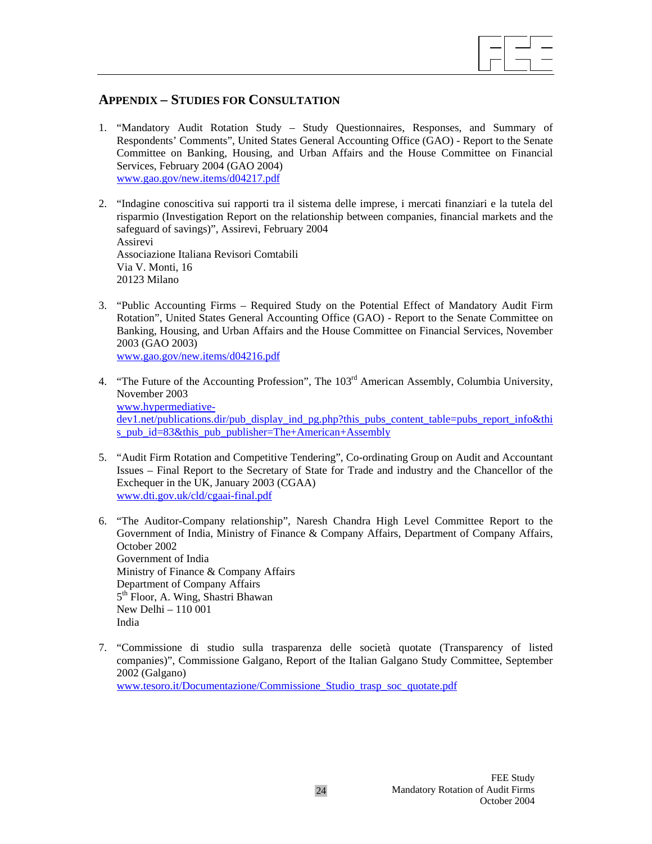

## **APPENDIX – STUDIES FOR CONSULTATION**

- 1. "Mandatory Audit Rotation Study Study Questionnaires, Responses, and Summary of Respondents' Comments", United States General Accounting Office (GAO) - Report to the Senate Committee on Banking, Housing, and Urban Affairs and the House Committee on Financial Services, February 2004 (GAO 2004) www.gao.gov/new.items/d04217.pdf
- 2. "Indagine conoscitiva sui rapporti tra il sistema delle imprese, i mercati finanziari e la tutela del risparmio (Investigation Report on the relationship between companies, financial markets and the safeguard of savings)", Assirevi, February 2004 Assirevi Associazione Italiana Revisori Comtabili Via V. Monti, 16 20123 Milano
- 3. "Public Accounting Firms Required Study on the Potential Effect of Mandatory Audit Firm Rotation", United States General Accounting Office (GAO) - Report to the Senate Committee on Banking, Housing, and Urban Affairs and the House Committee on Financial Services, November 2003 (GAO 2003)

www.gao.gov/new.items/d04216.pdf

- 4. "The Future of the Accounting Profession", The 103<sup>rd</sup> American Assembly, Columbia University, November 2003 www.hypermediativedev1.net/publications.dir/pub\_display\_ind\_pg.php?this\_pubs\_content\_table=pubs\_report\_info&thi s\_pub\_id=83&this\_pub\_publisher=The+American+Assembly
- 5. "Audit Firm Rotation and Competitive Tendering", Co-ordinating Group on Audit and Accountant Issues – Final Report to the Secretary of State for Trade and industry and the Chancellor of the Exchequer in the UK, January 2003 (CGAA) www.dti.gov.uk/cld/cgaai-final.pdf
- 6. "The Auditor-Company relationship", Naresh Chandra High Level Committee Report to the Government of India, Ministry of Finance & Company Affairs, Department of Company Affairs, October 2002 Government of India Ministry of Finance & Company Affairs Department of Company Affairs 5<sup>th</sup> Floor, A. Wing, Shastri Bhawan New Delhi – 110 001 India
- 7. "Commissione di studio sulla trasparenza delle società quotate (Transparency of listed companies)", Commissione Galgano, Report of the Italian Galgano Study Committee, September 2002 (Galgano) www.tesoro.it/Documentazione/Commissione\_Studio\_trasp\_soc\_quotate.pdf